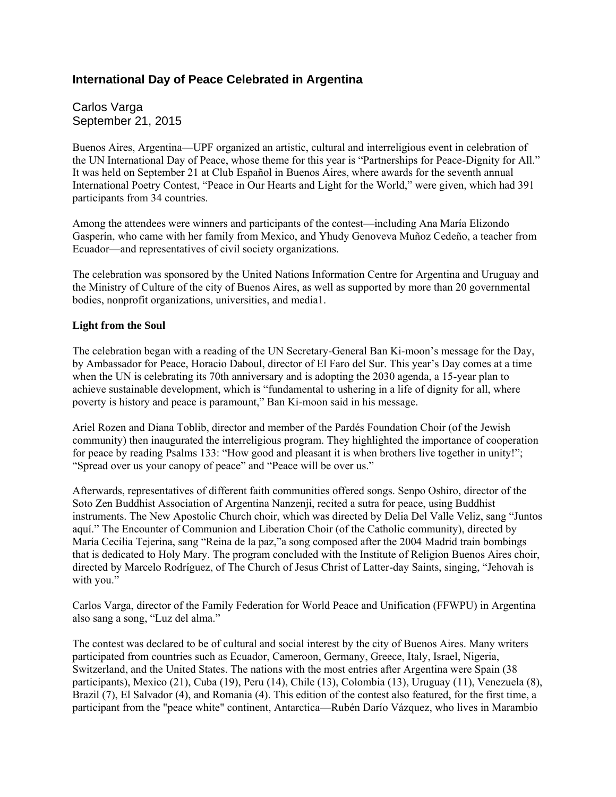## **International Day of Peace Celebrated in Argentina**

Carlos Varga September 21, 2015

Buenos Aires, Argentina—UPF organized an artistic, cultural and interreligious event in celebration of the UN International Day of Peace, whose theme for this year is "Partnerships for Peace-Dignity for All." It was held on September 21 at Club Español in Buenos Aires, where awards for the seventh annual International Poetry Contest, "Peace in Our Hearts and Light for the World," were given, which had 391 participants from 34 countries.

Among the attendees were winners and participants of the contest—including Ana María Elizondo Gasperín, who came with her family from Mexico, and Yhudy Genoveva Muñoz Cedeño, a teacher from Ecuador—and representatives of civil society organizations.

The celebration was sponsored by the United Nations Information Centre for Argentina and Uruguay and the Ministry of Culture of the city of Buenos Aires, as well as supported by more than 20 governmental bodies, nonprofit organizations, universities, and media1.

## **Light from the Soul**

The celebration began with a reading of the UN Secretary-General Ban Ki-moon's message for the Day, by Ambassador for Peace, Horacio Daboul, director of El Faro del Sur. This year's Day comes at a time when the UN is celebrating its 70th anniversary and is adopting the 2030 agenda, a 15-year plan to achieve sustainable development, which is "fundamental to ushering in a life of dignity for all, where poverty is history and peace is paramount," Ban Ki-moon said in his message.

Ariel Rozen and Diana Toblib, director and member of the Pardés Foundation Choir (of the Jewish community) then inaugurated the interreligious program. They highlighted the importance of cooperation for peace by reading Psalms 133: "How good and pleasant it is when brothers live together in unity!"; "Spread over us your canopy of peace" and "Peace will be over us."

Afterwards, representatives of different faith communities offered songs. Senpo Oshiro, director of the Soto Zen Buddhist Association of Argentina Nanzenji, recited a sutra for peace, using Buddhist instruments. The New Apostolic Church choir, which was directed by Delia Del Valle Veliz, sang "Juntos aquí." The Encounter of Communion and Liberation Choir (of the Catholic community), directed by María Cecilia Tejerina, sang "Reina de la paz,"a song composed after the 2004 Madrid train bombings that is dedicated to Holy Mary. The program concluded with the Institute of Religion Buenos Aires choir, directed by Marcelo Rodríguez, of The Church of Jesus Christ of Latter-day Saints, singing, "Jehovah is with you."

Carlos Varga, director of the Family Federation for World Peace and Unification (FFWPU) in Argentina also sang a song, "Luz del alma."

The contest was declared to be of cultural and social interest by the city of Buenos Aires. Many writers participated from countries such as Ecuador, Cameroon, Germany, Greece, Italy, Israel, Nigeria, Switzerland, and the United States. The nations with the most entries after Argentina were Spain (38 participants), Mexico (21), Cuba (19), Peru (14), Chile (13), Colombia (13), Uruguay (11), Venezuela (8), Brazil (7), El Salvador (4), and Romania (4). This edition of the contest also featured, for the first time, a participant from the "peace white" continent, Antarctica—Rubén Darío Vázquez, who lives in Marambio